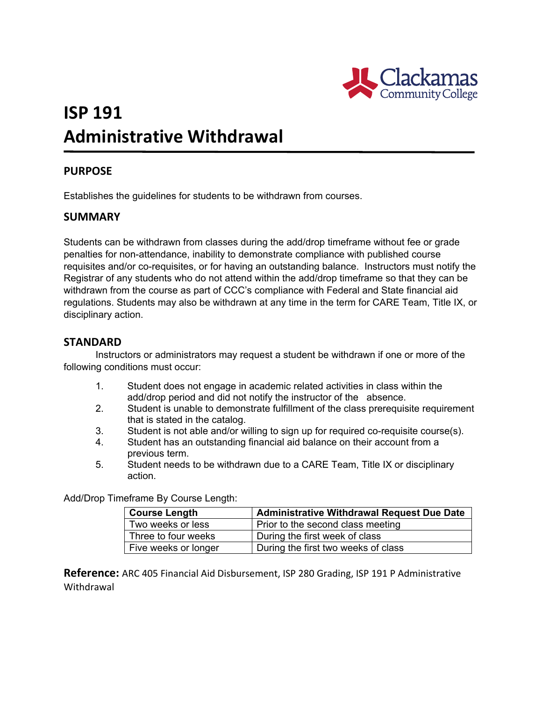

# **ISP 191 Administrative Withdrawal**

### **PURPOSE**

Establishes the guidelines for students to be withdrawn from courses.

#### **SUMMARY**

Students can be withdrawn from classes during the add/drop timeframe without fee or grade penalties for non-attendance, inability to demonstrate compliance with published course requisites and/or co-requisites, or for having an outstanding balance. Instructors must notify the Registrar of any students who do not attend within the add/drop timeframe so that they can be withdrawn from the course as part of CCC's compliance with Federal and State financial aid regulations. Students may also be withdrawn at any time in the term for CARE Team, Title IX, or disciplinary action.

#### **STANDARD**

Instructors or administrators may request a student be withdrawn if one or more of the following conditions must occur:

- 1. Student does not engage in academic related activities in class within the add/drop period and did not notify the instructor of the absence.
- 2. Student is unable to demonstrate fulfillment of the class prerequisite requirement that is stated in the catalog.
- 3. Student is not able and/or willing to sign up for required co-requisite course(s).
- 4. Student has an outstanding financial aid balance on their account from a previous term.
- 5. Student needs to be withdrawn due to a CARE Team, Title IX or disciplinary action.

Add/Drop Timeframe By Course Length:

| <b>Course Length</b> | <b>Administrative Withdrawal Request Due Date</b> |  |
|----------------------|---------------------------------------------------|--|
| Two weeks or less    | Prior to the second class meeting                 |  |
| Three to four weeks  | During the first week of class                    |  |
| Five weeks or longer | During the first two weeks of class               |  |

**Reference:** ARC 405 Financial Aid Disbursement, ISP 280 Grading, ISP 191 P Administrative **Withdrawal**